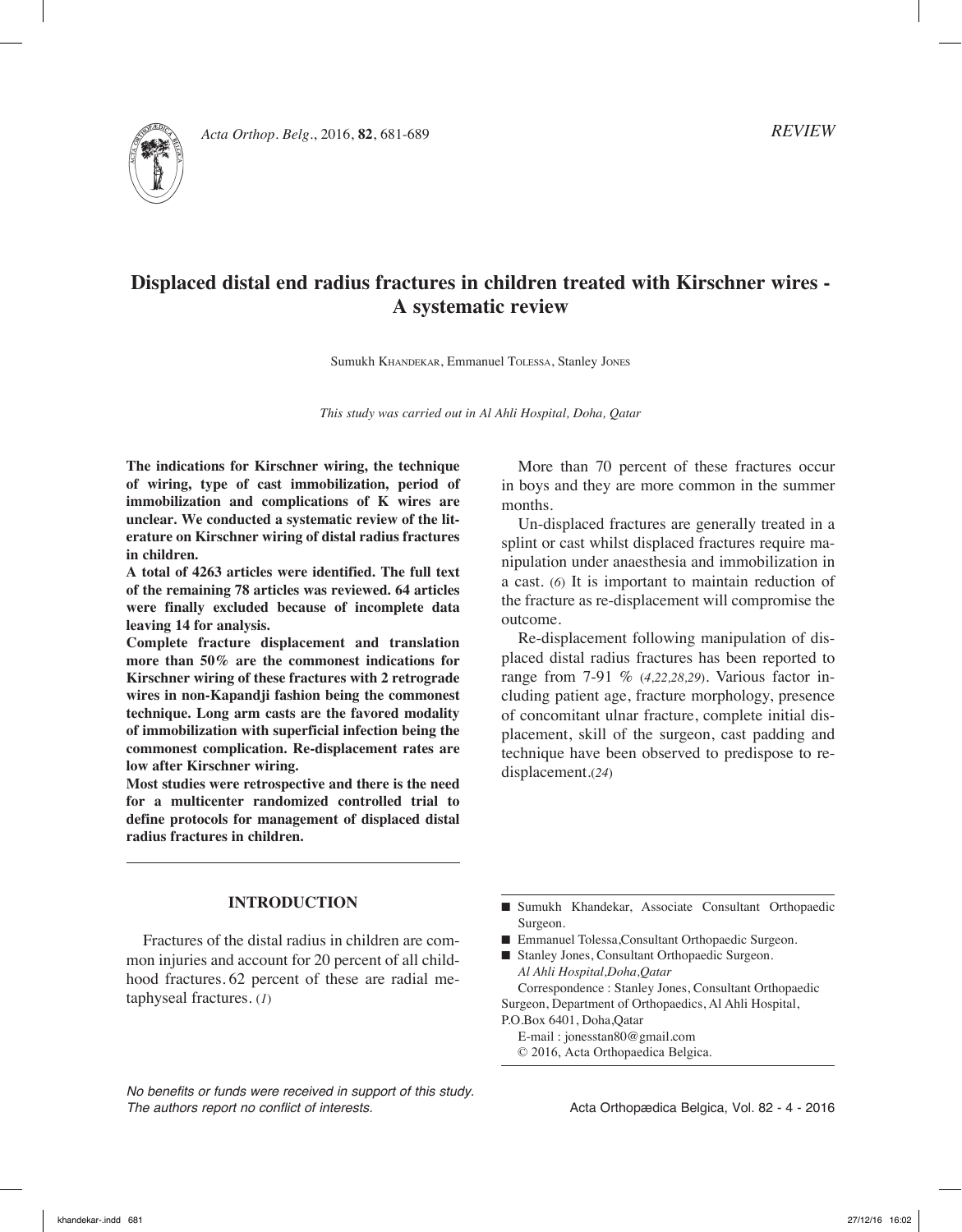*Acta Orthop. Belg.*, 2016, **82**, 681-689



# **Displaced distal end radius fractures in children treated with Kirschner wires - A systematic review**

Sumukh Khandekar, Emmanuel Tolessa, Stanley Jones

*This study was carried out in Al Ahli Hospital, Doha, Qatar*

**The indications for Kirschner wiring, the technique of wiring, type of cast immobilization, period of immobilization and complications of K wires are unclear. We conducted a systematic review of the literature on Kirschner wiring of distal radius fractures in children.**

**A total of 4263 articles were identified. The full text of the remaining 78 articles was reviewed. 64 articles were finally excluded because of incomplete data leaving 14 for analysis.** 

**Complete fracture displacement and translation more than 50% are the commonest indications for Kirschner wiring of these fractures with 2 retrograde wires in non-Kapandji fashion being the commonest technique. Long arm casts are the favored modality of immobilization with superficial infection being the commonest complication. Re-displacement rates are low after Kirschner wiring.**

**Most studies were retrospective and there is the need for a multicenter randomized controlled trial to define protocols for management of displaced distal radius fractures in children.**

More than 70 percent of these fractures occur in boys and they are more common in the summer months.

Un-displaced fractures are generally treated in a splint or cast whilst displaced fractures require manipulation under anaesthesia and immobilization in a cast. (*6*) It is important to maintain reduction of the fracture as re-displacement will compromise the outcome.

Re-displacement following manipulation of displaced distal radius fractures has been reported to range from 7-91 % (*4,22,28,29*). Various factor including patient age, fracture morphology, presence of concomitant ulnar fracture, complete initial displacement, skill of the surgeon, cast padding and technique have been observed to predispose to redisplacement.(*24*)

# **Introduction**

Fractures of the distal radius in children are common injuries and account for 20 percent of all childhood fractures. 62 percent of these are radial metaphyseal fractures. (*1*)

*No benefits or funds were received in support of this study. The authors report no conflict of interests.* 

- Sumukh Khandekar, Associate Consultant Orthopaedic Surgeon.
- Emmanuel Tolessa,Consultant Orthopaedic Surgeon.
- Stanley Jones, Consultant Orthopaedic Surgeon. *Al Ahli Hospital,Doha,Qatar*

Correspondence : Stanley Jones, Consultant Orthopaedic Surgeon, Department of Orthopaedics, Al Ahli Hospital, P.O.Box 6401, Doha,Qatar

E-mail : jonesstan80@gmail.com

© 2016, Acta Orthopaedica Belgica.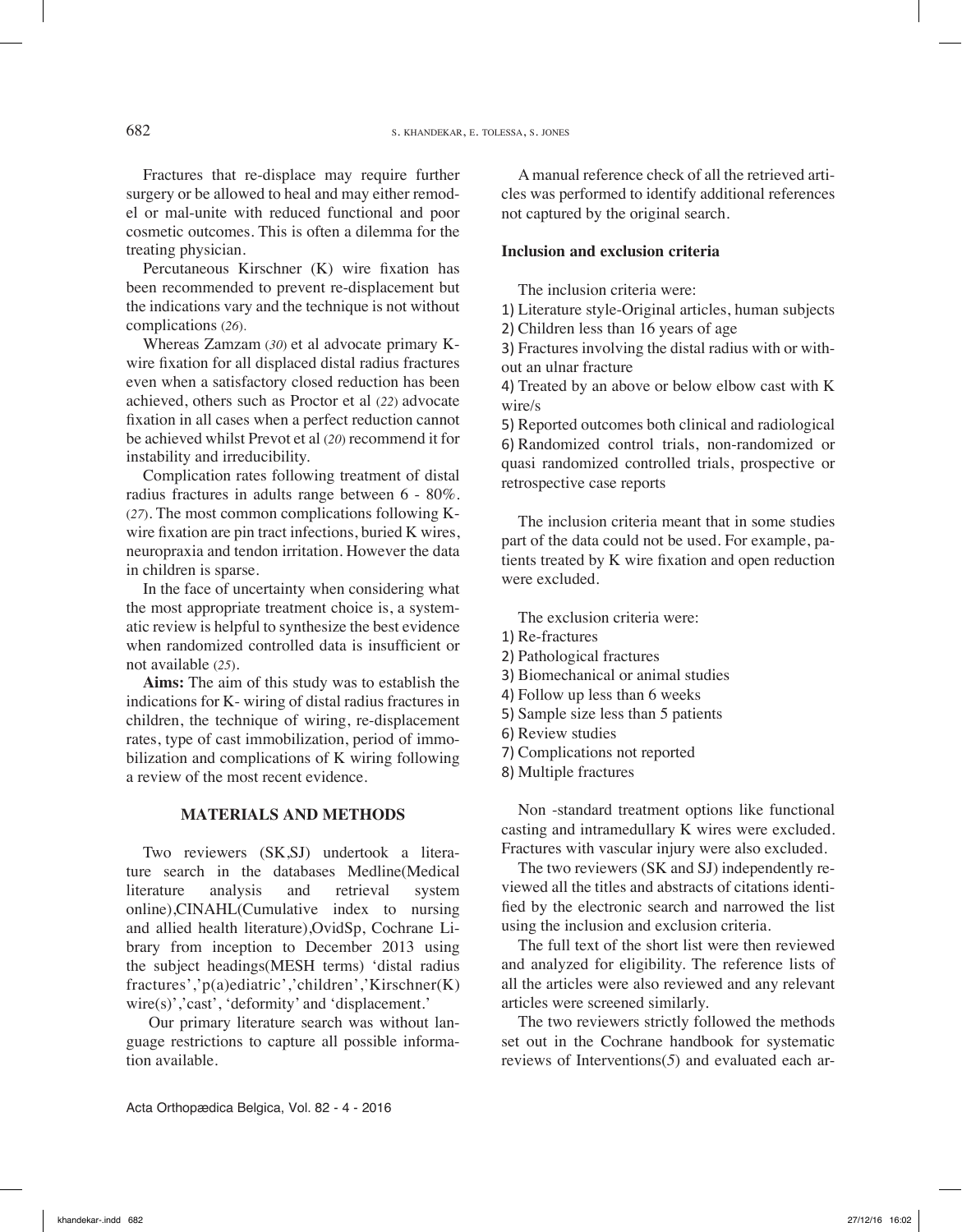Fractures that re-displace may require further surgery or be allowed to heal and may either remodel or mal-unite with reduced functional and poor cosmetic outcomes. This is often a dilemma for the treating physician.

Percutaneous Kirschner (K) wire fixation has been recommended to prevent re-displacement but the indications vary and the technique is not without complications (*26*).

Whereas Zamzam (*30*) et al advocate primary Kwire fixation for all displaced distal radius fractures even when a satisfactory closed reduction has been achieved, others such as Proctor et al (*22*) advocate fixation in all cases when a perfect reduction cannot be achieved whilst Prevot et al (*20*) recommend it for instability and irreducibility.

Complication rates following treatment of distal radius fractures in adults range between 6 - 80%. (*27*). The most common complications following Kwire fixation are pin tract infections, buried K wires, neuropraxia and tendon irritation. However the data in children is sparse.

In the face of uncertainty when considering what the most appropriate treatment choice is, a systematic review is helpful to synthesize the best evidence when randomized controlled data is insufficient or not available (*25*).

**Aims:** The aim of this study was to establish the indications for K- wiring of distal radius fractures in children, the technique of wiring, re-displacement rates, type of cast immobilization, period of immobilization and complications of K wiring following a review of the most recent evidence.

#### **Materials and Methods**

Two reviewers (SK,SJ) undertook a literature search in the databases Medline(Medical literature analysis and retrieval system online),CINAHL(Cumulative index to nursing and allied health literature),OvidSp, Cochrane Library from inception to December 2013 using the subject headings(MESH terms) 'distal radius fractures','p(a)ediatric','children','Kirschner(K) wire(s)','cast', 'deformity' and 'displacement.'

 Our primary literature search was without language restrictions to capture all possible information available.

Acta Orthopædica Belgica, Vol. 82 - 4 - 2016

A manual reference check of all the retrieved articles was performed to identify additional references not captured by the original search.

# **Inclusion and exclusion criteria**

The inclusion criteria were:

1) Literature style-Original articles, human subjects

2) Children less than 16 years of age

3) Fractures involving the distal radius with or without an ulnar fracture

4) Treated by an above or below elbow cast with K wire/s

5) Reported outcomes both clinical and radiological 6) Randomized control trials, non-randomized or quasi randomized controlled trials, prospective or retrospective case reports

The inclusion criteria meant that in some studies part of the data could not be used. For example, patients treated by K wire fixation and open reduction were excluded.

The exclusion criteria were:

- 1) Re-fractures
- 2) Pathological fractures
- 3) Biomechanical or animal studies
- 4) Follow up less than 6 weeks
- 5) Sample size less than 5 patients
- 6) Review studies
- 7) Complications not reported
- 8) Multiple fractures

Non -standard treatment options like functional casting and intramedullary K wires were excluded. Fractures with vascular injury were also excluded.

The two reviewers (SK and SJ) independently reviewed all the titles and abstracts of citations identified by the electronic search and narrowed the list using the inclusion and exclusion criteria.

The full text of the short list were then reviewed and analyzed for eligibility. The reference lists of all the articles were also reviewed and any relevant articles were screened similarly.

The two reviewers strictly followed the methods set out in the Cochrane handbook for systematic reviews of Interventions(*5*) and evaluated each ar-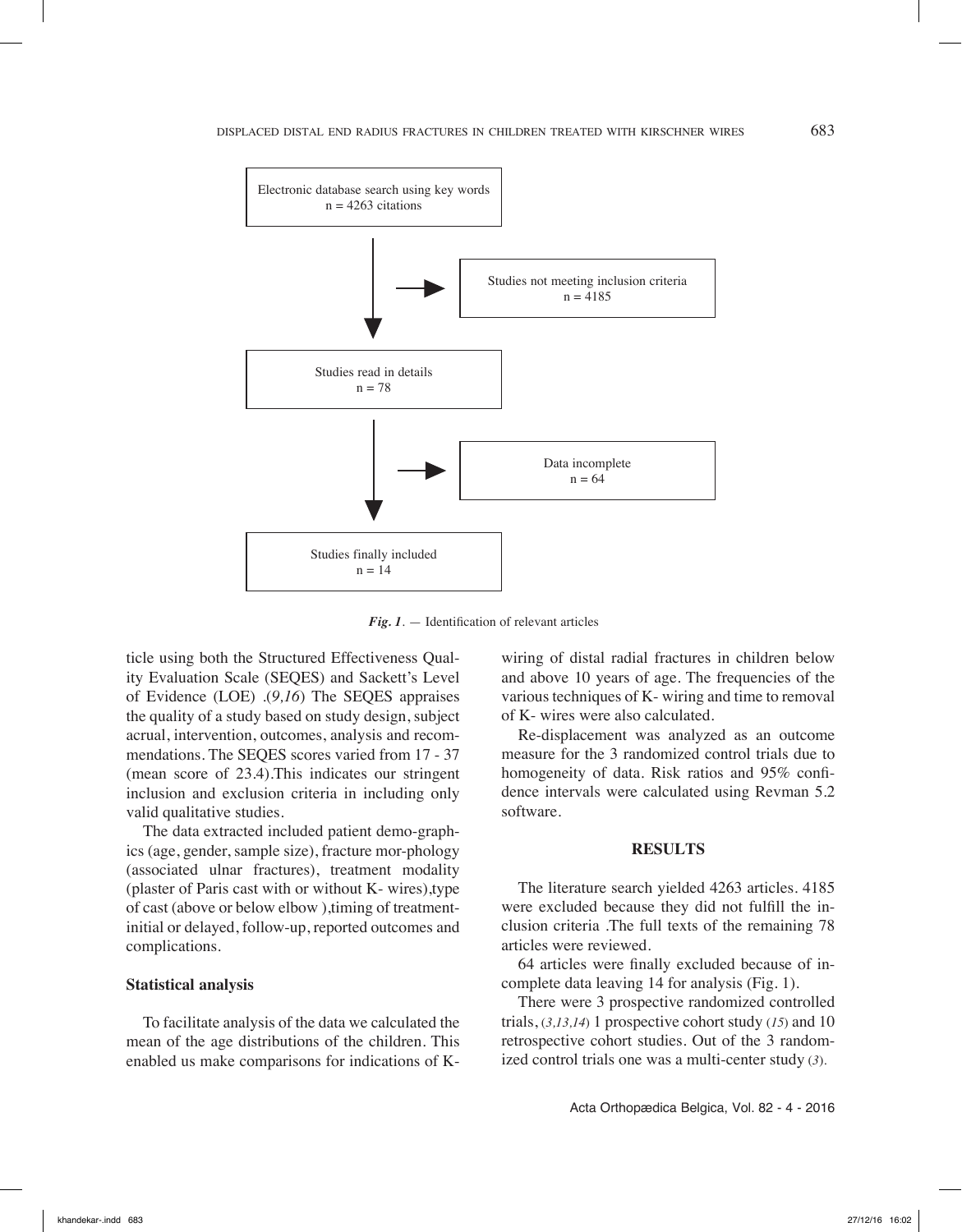

*Fig. 1*. — Identification of relevant articles

ticle using both the Structured Effectiveness Quality Evaluation Scale (SEQES) and Sackett's Level of Evidence (LOE) .(*9,16*) The SEQES appraises the quality of a study based on study design, subject acrual, intervention, outcomes, analysis and recommendations. The SEQES scores varied from 17 - 37 (mean score of 23.4).This indicates our stringent inclusion and exclusion criteria in including only valid qualitative studies.

The data extracted included patient demo-graphics (age, gender, sample size), fracture mor-phology (associated ulnar fractures), treatment modality (plaster of Paris cast with or without K- wires),type of cast (above or below elbow ),timing of treatmentinitial or delayed, follow-up, reported outcomes and complications.

## **Statistical analysis**

To facilitate analysis of the data we calculated the mean of the age distributions of the children. This enabled us make comparisons for indications of K-

wiring of distal radial fractures in children below and above 10 years of age. The frequencies of the various techniques of K- wiring and time to removal of K- wires were also calculated.

Re-displacement was analyzed as an outcome measure for the 3 randomized control trials due to homogeneity of data. Risk ratios and 95% confidence intervals were calculated using Revman 5.2 software.

#### **Results**

The literature search yielded 4263 articles. 4185 were excluded because they did not fulfill the inclusion criteria .The full texts of the remaining 78 articles were reviewed.

64 articles were finally excluded because of incomplete data leaving 14 for analysis (Fig. 1).

There were 3 prospective randomized controlled trials, (*3,13,14*) 1 prospective cohort study (*15*) and 10 retrospective cohort studies. Out of the 3 randomized control trials one was a multi-center study (*3*).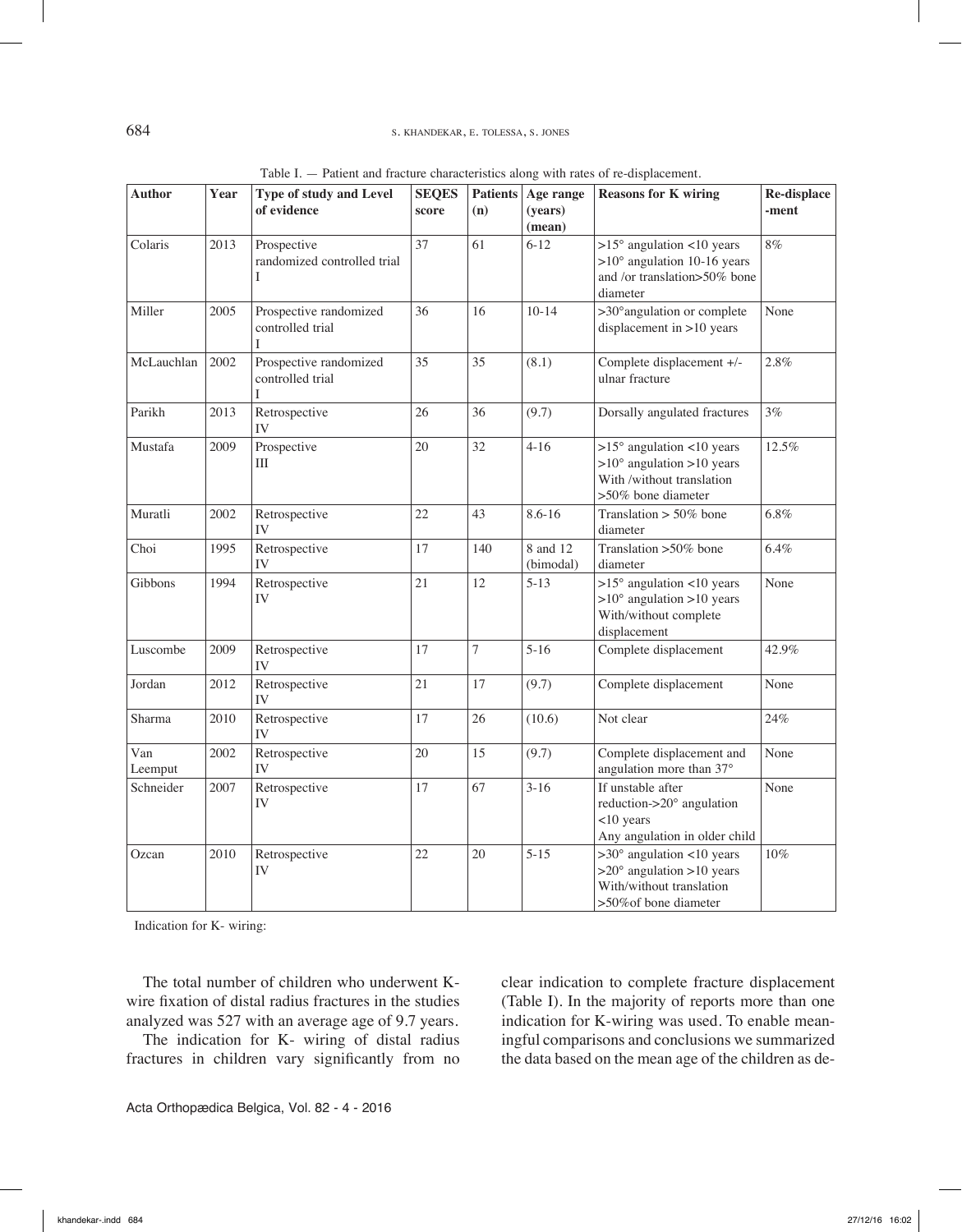| Author         | Year | Type of study and Level<br>of evidence          | <b>SEQES</b> |                | Patients Age range    | <b>Reasons for K wiring</b>                                                                                                 | Re-displace |
|----------------|------|-------------------------------------------------|--------------|----------------|-----------------------|-----------------------------------------------------------------------------------------------------------------------------|-------------|
|                |      |                                                 | score        | (n)            | (years)<br>(mean)     |                                                                                                                             | -ment       |
| Colaris        | 2013 | Prospective<br>randomized controlled trial<br>L | 37           | 61             | $6 - 12$              | $>15^\circ$ angulation <10 years<br>$>10^{\circ}$ angulation 10-16 years<br>and /or translation>50% bone<br>diameter        | $8\%$       |
| Miller         | 2005 | Prospective randomized<br>controlled trial<br>I | 36           | 16             | $10 - 14$             | >30° angulation or complete<br>displacement in $>10$ years                                                                  | None        |
| McLauchlan     | 2002 | Prospective randomized<br>controlled trial<br>L | 35           | 35             | (8.1)                 | Complete displacement +/-<br>ulnar fracture                                                                                 | 2.8%        |
| Parikh         | 2013 | Retrospective<br>IV                             | 26           | 36             | (9.7)                 | Dorsally angulated fractures                                                                                                | 3%          |
| Mustafa        | 2009 | Prospective<br>Ш                                | 20           | 32             | $4 - 16$              | $>15^\circ$ angulation <10 years<br>$>10^{\circ}$ angulation $>10$ years<br>With /without translation<br>>50% bone diameter | 12.5%       |
| Muratli        | 2002 | Retrospective<br>IV                             | 22           | 43             | $8.6 - 16$            | Translation $> 50\%$ bone<br>diameter                                                                                       | 6.8%        |
| Choi           | 1995 | Retrospective<br>IV                             | 17           | 140            | 8 and 12<br>(bimodal) | Translation >50% bone<br>diameter                                                                                           | $6.4\%$     |
| Gibbons        | 1994 | Retrospective<br>IV                             | 21           | 12             | $5 - 13$              | $>15^{\circ}$ angulation <10 years<br>$>10^{\circ}$ angulation $>10$ years<br>With/without complete<br>displacement         | None        |
| Luscombe       | 2009 | Retrospective<br>IV                             | 17           | $\overline{7}$ | $5 - 16$              | Complete displacement                                                                                                       | 42.9%       |
| Jordan         | 2012 | Retrospective<br>IV                             | 21           | 17             | (9.7)                 | Complete displacement                                                                                                       | None        |
| Sharma         | 2010 | Retrospective<br>IV                             | 17           | 26             | (10.6)                | Not clear                                                                                                                   | 24%         |
| Van<br>Leemput | 2002 | Retrospective<br>IV                             | 20           | 15             | (9.7)                 | Complete displacement and<br>angulation more than 37°                                                                       | None        |
| Schneider      | 2007 | Retrospective<br>IV                             | 17           | 67             | $3-16$                | If unstable after<br>reduction->20° angulation<br><10 years<br>Any angulation in older child                                | None        |
| Ozcan          | 2010 | Retrospective<br>IV                             | 22           | 20             | $5 - 15$              | $>30^\circ$ angulation <10 years<br>$>20^\circ$ angulation $>10$ years<br>With/without translation<br>>50% of bone diameter | $10\%$      |

Indication for K- wiring:

The total number of children who underwent Kwire fixation of distal radius fractures in the studies analyzed was 527 with an average age of 9.7 years.

The indication for K- wiring of distal radius fractures in children vary significantly from no clear indication to complete fracture displacement (Table I). In the majority of reports more than one indication for K-wiring was used. To enable meaningful comparisons and conclusions we summarized the data based on the mean age of the children as de-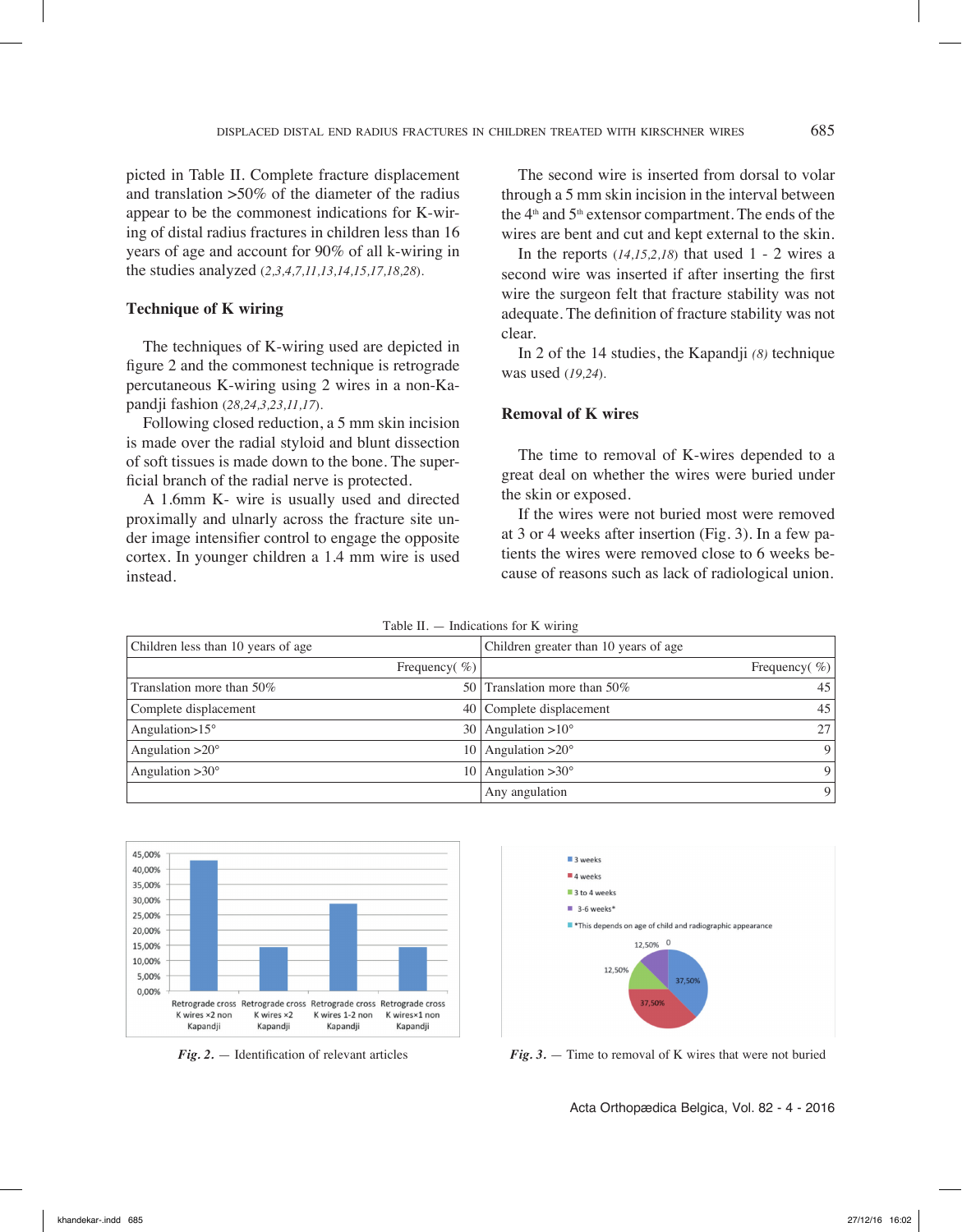picted in Table II. Complete fracture displacement and translation >50% of the diameter of the radius appear to be the commonest indications for K-wiring of distal radius fractures in children less than 16 years of age and account for 90% of all k-wiring in the studies analyzed (*2,3,4,7,11,13,14,15,17,18,28*).

# **Technique of K wiring**

The techniques of K-wiring used are depicted in figure 2 and the commonest technique is retrograde percutaneous K-wiring using 2 wires in a non-Kapandji fashion (*28,24,3,23,11,17*).

Following closed reduction, a 5 mm skin incision is made over the radial styloid and blunt dissection of soft tissues is made down to the bone. The superficial branch of the radial nerve is protected.

A 1.6mm K- wire is usually used and directed proximally and ulnarly across the fracture site under image intensifier control to engage the opposite cortex. In younger children a 1.4 mm wire is used instead.

The second wire is inserted from dorsal to volar through a 5 mm skin incision in the interval between the  $4<sup>th</sup>$  and  $5<sup>th</sup>$  extensor compartment. The ends of the wires are bent and cut and kept external to the skin.

In the reports (*14,15,2,18*) that used 1 - 2 wires a second wire was inserted if after inserting the first wire the surgeon felt that fracture stability was not adequate. The definition of fracture stability was not clear.

In 2 of the 14 studies, the Kapandji *(8)* technique was used (*19,24*).

# **Removal of K wires**

The time to removal of K-wires depended to a great deal on whether the wires were buried under the skin or exposed.

If the wires were not buried most were removed at 3 or 4 weeks after insertion (Fig. 3). In a few patients the wires were removed close to 6 weeks because of reasons such as lack of radiological union.

| Table II. $-$ Indications for K wiring |                   |                                       |                   |  |
|----------------------------------------|-------------------|---------------------------------------|-------------------|--|
| Children less than 10 years of age     |                   | Children greater than 10 years of age |                   |  |
|                                        | Frequency( $\%$ ) |                                       | Frequency( $\%$ ) |  |
| Translation more than 50%              |                   | 50 Translation more than 50%          | 45                |  |
| Complete displacement                  |                   | 40 Complete displacement              | 45                |  |
| Angulation $>15^\circ$                 | 30 <sup>1</sup>   | Angulation $>10^\circ$                | 27                |  |
| Angulation $>20^\circ$                 | 10.               | Angulation $>20^\circ$                | 9                 |  |
| Angulation $>30^\circ$                 | 10-               | Angulation $>30^\circ$                | 9                 |  |
|                                        |                   | Any angulation                        | 9                 |  |





*Fig. 2.* — Identification of relevant articles *Fig. 3.* — Time to removal of K wires that were not buried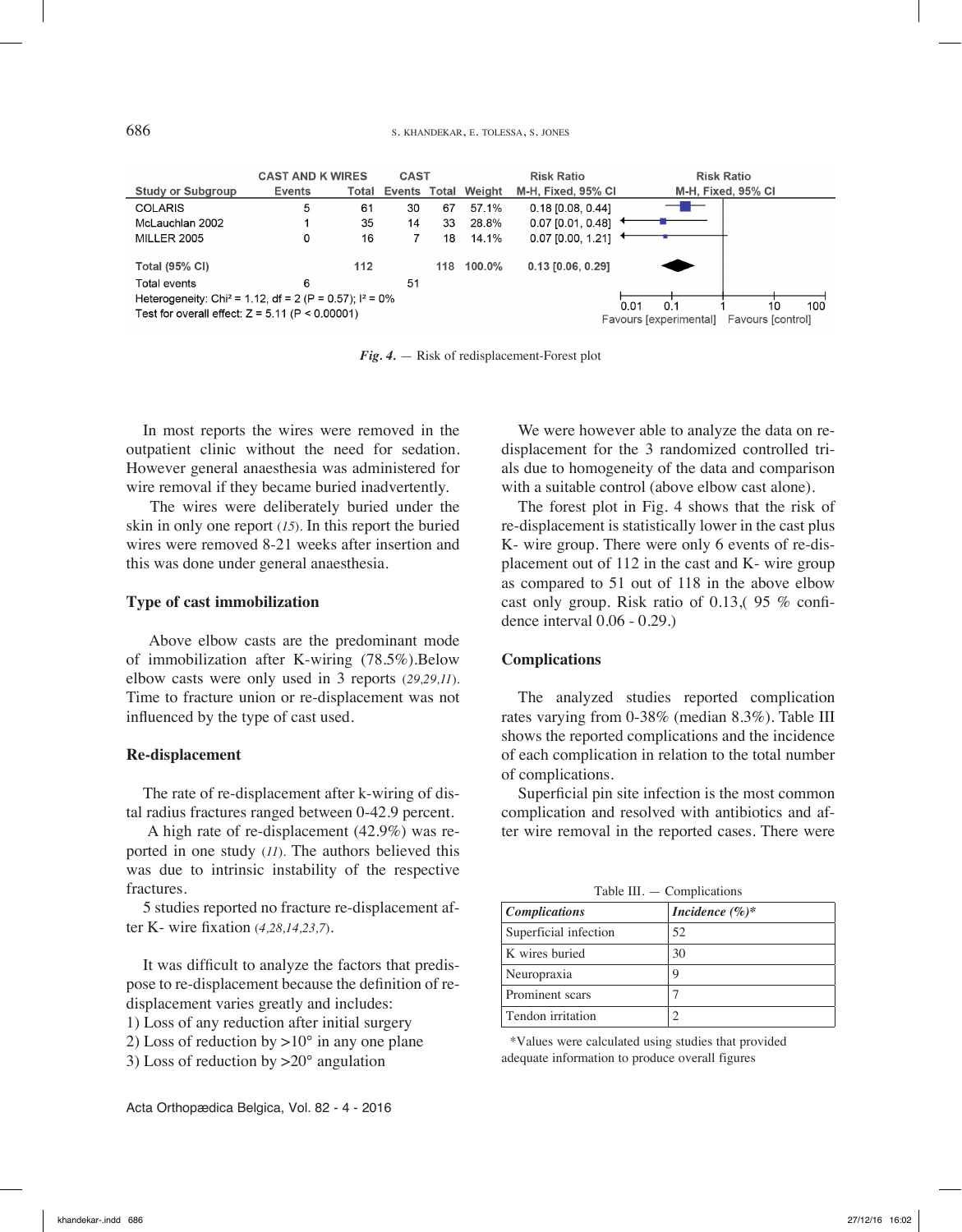|                                                                                                                                                        | <b>CAST AND K WIRES</b> |       | <b>CAST</b> |     |                     | <b>Risk Ratio</b>   | <b>Risk Ratio</b>                           |
|--------------------------------------------------------------------------------------------------------------------------------------------------------|-------------------------|-------|-------------|-----|---------------------|---------------------|---------------------------------------------|
| <b>Study or Subgroup</b>                                                                                                                               | <b>Events</b>           | Total |             |     | Events Total Weight | M-H. Fixed, 95% CI  | M-H. Fixed, 95% CI                          |
| <b>COLARIS</b>                                                                                                                                         | 5                       | 61    | 30          | 67  | 57.1%               | $0.18$ [0.08, 0.44] |                                             |
| McLauchlan 2002                                                                                                                                        |                         | 35    | 14          | 33  | 28.8%               | 0.07 [0.01, 0.48]   |                                             |
| <b>MILLER 2005</b>                                                                                                                                     | 0                       | 16    |             | 18  | 14.1%               | $0.07$ [0.00, 1.21] |                                             |
| <b>Total (95% CI)</b>                                                                                                                                  |                         | 112   |             | 118 | 100.0%              | 0.13 [0.06, 0.29]   |                                             |
| Total events                                                                                                                                           | 6                       |       | 51          |     |                     |                     |                                             |
| Heterogeneity: Chi <sup>2</sup> = 1.12, df = 2 (P = 0.57); $1^2$ = 0%<br>100<br>0.01<br>0.1<br>10<br>Test for overall effect: $Z = 5.11$ (P < 0.00001) |                         |       |             |     |                     |                     |                                             |
|                                                                                                                                                        |                         |       |             |     |                     |                     | Favours [experimental]<br>Favours [control] |

*Fig. 4.* — Risk of redisplacement-Forest plot

In most reports the wires were removed in the outpatient clinic without the need for sedation. However general anaesthesia was administered for wire removal if they became buried inadvertently.

 The wires were deliberately buried under the skin in only one report (*15*). In this report the buried wires were removed 8-21 weeks after insertion and this was done under general anaesthesia.

#### **Type of cast immobilization**

 Above elbow casts are the predominant mode of immobilization after K-wiring (78.5%).Below elbow casts were only used in 3 reports (*29,29,11*). Time to fracture union or re-displacement was not influenced by the type of cast used.

#### **Re-displacement**

The rate of re-displacement after k-wiring of distal radius fractures ranged between 0-42.9 percent.

 A high rate of re-displacement (42.9%) was reported in one study (*11*). The authors believed this was due to intrinsic instability of the respective fractures.

5 studies reported no fracture re-displacement after K- wire fixation (*4,28,14,23,7*).

It was difficult to analyze the factors that predispose to re-displacement because the definition of redisplacement varies greatly and includes:

1) Loss of any reduction after initial surgery

2) Loss of reduction by  $>10^{\circ}$  in any one plane

3) Loss of reduction by >20° angulation

Acta Orthopædica Belgica, Vol. 82 - 4 - 2016

We were however able to analyze the data on redisplacement for the 3 randomized controlled trials due to homogeneity of the data and comparison with a suitable control (above elbow cast alone).

The forest plot in Fig. 4 shows that the risk of re-displacement is statistically lower in the cast plus K- wire group. There were only 6 events of re-displacement out of 112 in the cast and K- wire group as compared to 51 out of 118 in the above elbow cast only group. Risk ratio of 0.13,( 95 % confidence interval 0.06 - 0.29.)

## **Complications**

The analyzed studies reported complication rates varying from 0-38% (median 8.3%). Table III shows the reported complications and the incidence of each complication in relation to the total number of complications.

Superficial pin site infection is the most common complication and resolved with antibiotics and after wire removal in the reported cases. There were

Table III. — Complications

| <i>Complications</i>  | Incidence $(\%)^*$ |  |  |  |
|-----------------------|--------------------|--|--|--|
| Superficial infection | 52                 |  |  |  |
| K wires buried        | 30                 |  |  |  |
| Neuropraxia           |                    |  |  |  |
| Prominent scars       |                    |  |  |  |
| Tendon irritation     |                    |  |  |  |

\*Values were calculated using studies that provided adequate information to produce overall figures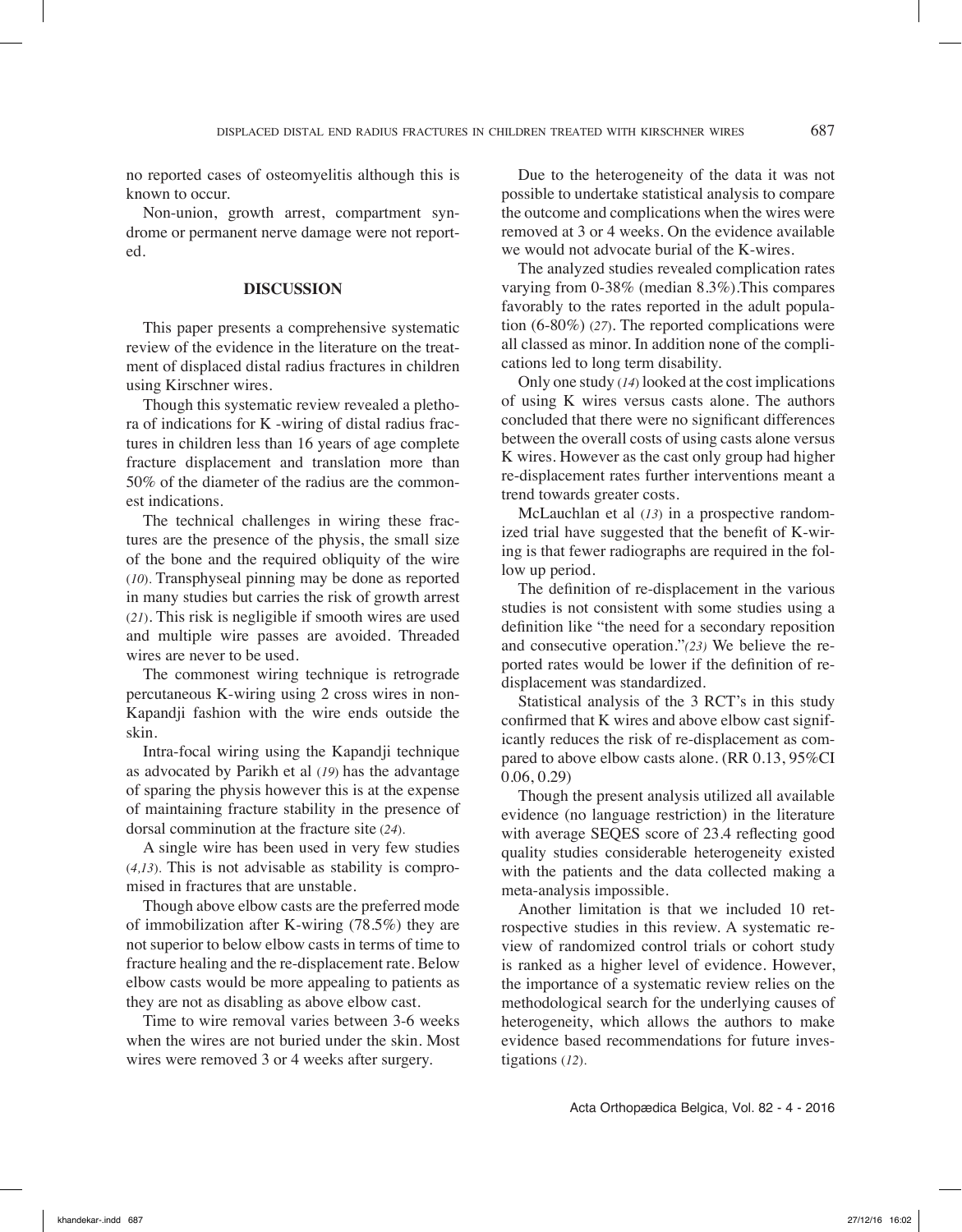no reported cases of osteomyelitis although this is known to occur.

Non-union, growth arrest, compartment syndrome or permanent nerve damage were not reported.

## **Discussion**

This paper presents a comprehensive systematic review of the evidence in the literature on the treatment of displaced distal radius fractures in children using Kirschner wires.

Though this systematic review revealed a plethora of indications for K -wiring of distal radius fractures in children less than 16 years of age complete fracture displacement and translation more than 50% of the diameter of the radius are the commonest indications.

The technical challenges in wiring these fractures are the presence of the physis, the small size of the bone and the required obliquity of the wire (*10*). Transphyseal pinning may be done as reported in many studies but carries the risk of growth arrest (*21*). This risk is negligible if smooth wires are used and multiple wire passes are avoided. Threaded wires are never to be used.

The commonest wiring technique is retrograde percutaneous K-wiring using 2 cross wires in non-Kapandji fashion with the wire ends outside the skin.

Intra-focal wiring using the Kapandji technique as advocated by Parikh et al (*19*) has the advantage of sparing the physis however this is at the expense of maintaining fracture stability in the presence of dorsal comminution at the fracture site (*24*).

A single wire has been used in very few studies (*4,13*). This is not advisable as stability is compromised in fractures that are unstable.

Though above elbow casts are the preferred mode of immobilization after K-wiring (78.5%) they are not superior to below elbow casts in terms of time to fracture healing and the re-displacement rate. Below elbow casts would be more appealing to patients as they are not as disabling as above elbow cast.

Time to wire removal varies between 3-6 weeks when the wires are not buried under the skin. Most wires were removed 3 or 4 weeks after surgery.

Due to the heterogeneity of the data it was not possible to undertake statistical analysis to compare the outcome and complications when the wires were removed at 3 or 4 weeks. On the evidence available we would not advocate burial of the K-wires.

The analyzed studies revealed complication rates varying from 0-38% (median 8.3%).This compares favorably to the rates reported in the adult population (6-80%) (*27*). The reported complications were all classed as minor. In addition none of the complications led to long term disability.

Only one study (*14*) looked at the cost implications of using K wires versus casts alone. The authors concluded that there were no significant differences between the overall costs of using casts alone versus K wires. However as the cast only group had higher re-displacement rates further interventions meant a trend towards greater costs.

McLauchlan et al (*13*) in a prospective randomized trial have suggested that the benefit of K-wiring is that fewer radiographs are required in the follow up period.

The definition of re-displacement in the various studies is not consistent with some studies using a definition like "the need for a secondary reposition and consecutive operation."*(23)* We believe the reported rates would be lower if the definition of redisplacement was standardized.

Statistical analysis of the 3 RCT's in this study confirmed that K wires and above elbow cast significantly reduces the risk of re-displacement as compared to above elbow casts alone. (RR 0.13, 95%CI 0.06, 0.29)

Though the present analysis utilized all available evidence (no language restriction) in the literature with average SEQES score of 23.4 reflecting good quality studies considerable heterogeneity existed with the patients and the data collected making a meta-analysis impossible.

Another limitation is that we included 10 retrospective studies in this review. A systematic review of randomized control trials or cohort study is ranked as a higher level of evidence. However, the importance of a systematic review relies on the methodological search for the underlying causes of heterogeneity, which allows the authors to make evidence based recommendations for future investigations (*12*).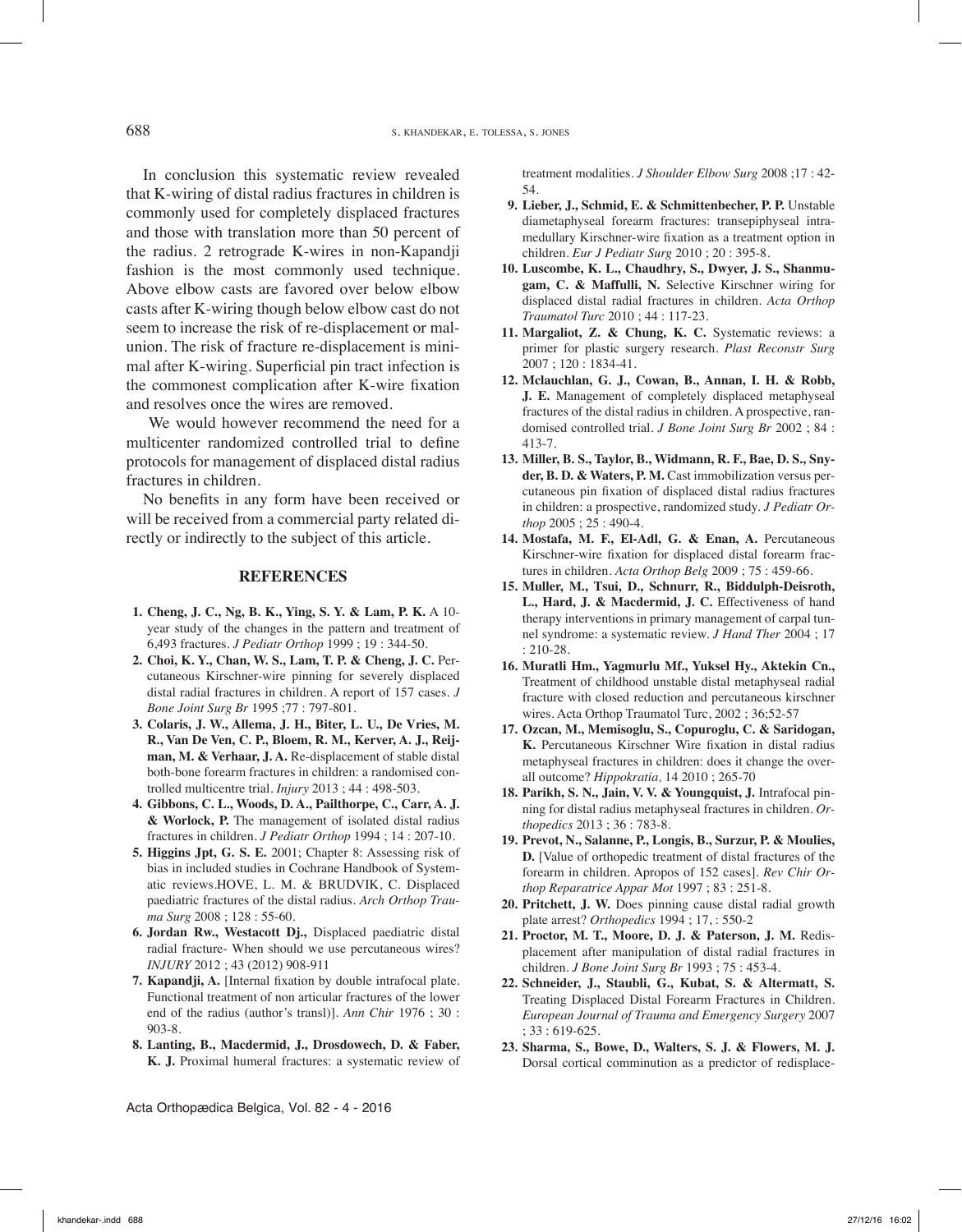In conclusion this systematic review revealed that K-wiring of distal radius fractures in children is commonly used for completely displaced fractures and those with translation more than 50 percent of the radius. 2 retrograde K-wires in non-Kapandji fashion is the most commonly used technique. Above elbow casts are favored over below elbow casts after K-wiring though below elbow cast do not seem to increase the risk of re-displacement or malunion. The risk of fracture re-displacement is minimal after K-wiring. Superficial pin tract infection is the commonest complication after K-wire fixation and resolves once the wires are removed.

 We would however recommend the need for a multicenter randomized controlled trial to define protocols for management of displaced distal radius fractures in children.

No benefits in any form have been received or will be received from a commercial party related directly or indirectly to the subject of this article.

#### **References**

- **1. Cheng, J. C., Ng, B. K., Ying, S. Y. & Lam, P. K.** A 10 year study of the changes in the pattern and treatment of 6,493 fractures. *J Pediatr Orthop* 1999 ; 19 : 344-50.
- **2. Choi, K. Y., Chan, W. S., Lam, T. P. & Cheng, J. C.** Percutaneous Kirschner-wire pinning for severely displaced distal radial fractures in children. A report of 157 cases. *J Bone Joint Surg Br* 1995 ;77 : 797-801.
- **3. Colaris, J. W., Allema, J. H., Biter, L. U., De Vries, M. R., Van De Ven, C. P., Bloem, R. M., Kerver, A. J., Reijman, M. & Verhaar, J. A.** Re-displacement of stable distal both-bone forearm fractures in children: a randomised controlled multicentre trial. *Injury* 2013 ; 44 : 498-503.
- **4. Gibbons, C. L., Woods, D. A., Pailthorpe, C., Carr, A. J. & Worlock, P.** The management of isolated distal radius fractures in children. *J Pediatr Orthop* 1994 ; 14 : 207-10.
- **5. Higgins Jpt, G. S. E.** 2001; Chapter 8: Assessing risk of bias in included studies in Cochrane Handbook of Systematic reviews.HOVE, L. M. & BRUDVIK, C. Displaced paediatric fractures of the distal radius. *Arch Orthop Trauma Surg* 2008 ; 128 : 55-60.
- **6. Jordan Rw., Westacott Dj.,** Displaced paediatric distal radial fracture- When should we use percutaneous wires? *INJURY* 2012 ; 43 (2012) 908-911
- **7. Kapandji, A.** [Internal fixation by double intrafocal plate. Functional treatment of non articular fractures of the lower end of the radius (author's transl)]. *Ann Chir* 1976 ; 30 : 903-8.
- **8. Lanting, B., Macdermid, J., Drosdowech, D. & Faber, K. J.** Proximal humeral fractures: a systematic review of

Acta Orthopædica Belgica, Vol. 82 - 4 - 2016

treatment modalities. *J Shoulder Elbow Surg* 2008 ;17 : 42- 54.

- **9. Lieber, J., Schmid, E. & Schmittenbecher, P. P.** Unstable diametaphyseal forearm fractures: transepiphyseal intramedullary Kirschner-wire fixation as a treatment option in children. *Eur J Pediatr Surg* 2010 ; 20 : 395-8.
- **10. Luscombe, K. L., Chaudhry, S., Dwyer, J. S., Shanmugam, C. & Maffulli, N.** Selective Kirschner wiring for displaced distal radial fractures in children. *Acta Orthop Traumatol Turc* 2010 ; 44 : 117-23.
- **11. Margaliot, Z. & Chung, K. C.** Systematic reviews: a primer for plastic surgery research. *Plast Reconstr Surg*  2007 ; 120 : 1834-41.
- **12. Mclauchlan, G. J., Cowan, B., Annan, I. H. & Robb, J. E.** Management of completely displaced metaphyseal fractures of the distal radius in children. A prospective, randomised controlled trial. *J Bone Joint Surg Br* 2002 ; 84 : 413-7.
- **13. Miller, B. S., Taylor, B., Widmann, R. F., Bae, D. S., Snyder, B. D. & Waters, P. M.** Cast immobilization versus percutaneous pin fixation of displaced distal radius fractures in children: a prospective, randomized study. *J Pediatr Orthop* 2005 ; 25 : 490-4.
- **14. Mostafa, M. F., El-Adl, G. & Enan, A.** Percutaneous Kirschner-wire fixation for displaced distal forearm fractures in children. *Acta Orthop Belg* 2009 ; 75 : 459-66.
- **15. Muller, M., Tsui, D., Schnurr, R., Biddulph-Deisroth, L., Hard, J. & Macdermid, J. C.** Effectiveness of hand therapy interventions in primary management of carpal tunnel syndrome: a systematic review. *J Hand Ther* 2004 ; 17 : 210-28.
- **16. Muratli Hm., Yagmurlu Mf., Yuksel Hy., Aktekin Cn.,**  Treatment of childhood unstable distal metaphyseal radial fracture with closed reduction and percutaneous kirschner wires. Acta Orthop Traumatol Turc, 2002 ; 36;52-57
- **17. Ozcan, M., Memisoglu, S., Copuroglu, C. & Saridogan, K.** Percutaneous Kirschner Wire fixation in distal radius metaphyseal fractures in children: does it change the overall outcome? *Hippokratia,* 14 2010 ; 265-70
- **18. Parikh, S. N., Jain, V. V. & Youngquist, J.** Intrafocal pinning for distal radius metaphyseal fractures in children. *Orthopedics* 2013 ; 36 : 783-8.
- **19. Prevot, N., Salanne, P., Longis, B., Surzur, P. & Moulies, D.** [Value of orthopedic treatment of distal fractures of the forearm in children. Apropos of 152 cases]. *Rev Chir Orthop Reparatrice Appar Mot* 1997 ; 83 : 251-8.
- **20. Pritchett, J. W.** Does pinning cause distal radial growth plate arrest? *Orthopedics* 1994 ; 17, : 550-2
- **21. Proctor, M. T., Moore, D. J. & Paterson, J. M.** Redisplacement after manipulation of distal radial fractures in children. *J Bone Joint Surg Br* 1993 ; 75 : 453-4.
- **22. Schneider, J., Staubli, G., Kubat, S. & Altermatt, S.**  Treating Displaced Distal Forearm Fractures in Children. *European Journal of Trauma and Emergency Surgery* 2007 ; 33 : 619-625.
- **23. Sharma, S., Bowe, D., Walters, S. J. & Flowers, M. J.**  Dorsal cortical comminution as a predictor of redisplace-